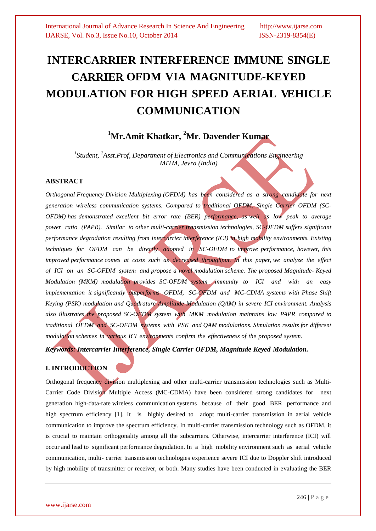# **INTERCARRIER INTERFERENCE IMMUNE SINGLE CARRIER OFDM VIA MAGNITUDE-KEYED MODULATION FOR HIGH SPEED AERIAL VEHICLE COMMUNICATION**

## **<sup>1</sup>Mr.Amit Khatkar, <sup>2</sup>Mr. Davender Kumar**

*1 Student, <sup>2</sup> Asst.Prof, Department of Electronics and Communications Engineering MITM, Jevra (India)*

#### **ABSTRACT**

*Orthogonal Frequency Division Multiplexing (OFDM) has been considered as a strong candidate for next generation wireless communication systems. Compared to traditional OFDM, Single Carrier OFDM (SC-OFDM) has demonstrated excellent bit error rate (BER) performance, as well as low peak to average power ratio (PAPR). Similar to other multi-carrier transmission technologies, SC-OFDM suffers significant performance degradation resulting from intercarrier interference (ICI) in high mobility environments. Existing techniques for OFDM can be directly adopted in SC-OFDM to improve performance, however, this improved performance comes at costs such as decreased throughput. In this paper, we analyze the effect of ICI on an SC-OFDM system and propose a novel modulation scheme. The proposed Magnitude- Keyed Modulation (MKM) modulation provides SC-OFDM system immunity to ICI and with an easy implementation it significantly outperforms OFDM, SC-OFDM and MC-CDMA systems with Phase Shift Keying (PSK) modulation and Quadrature Amplitude Modulation (QAM) in severe ICI environment. Analysis also illustrates the proposed SC-OFDM system with MKM modulation maintains low PAPR compared to traditional OFDM and SC-OFDM systems with PSK and QAM modulations. Simulation results for different modulation schemes in various ICI environments confirm the effectiveness of the proposed system.*

*Keywords: Intercarrier Interference, Single Carrier OFDM, Magnitude Keyed Modulation.*

### **I. INTRODUCTION**

Orthogonal frequency division multiplexing and other multi-carrier transmission technologies such as Multi-Carrier Code Division Multiple Access (MC-CDMA) have been considered strong candidates for next generation high-data-rate wireless communication systems because of their good BER performance and high spectrum efficiency [1]. It is highly desired to adopt multi-carrier transmission in aerial vehicle communication to improve the spectrum efficiency. In multi-carrier transmission technology such as OFDM, it is crucial to maintain orthogonality among all the subcarriers. Otherwise, intercarrier interference (ICI) will occur and lead to significant performance degradation. In a high mobility environment such as aerial vehicle communication, multi- carrier transmission technologies experience severe ICI due to Doppler shift introduced by high mobility of transmitter or receiver, or both. Many studies have been conducted in evaluating the BER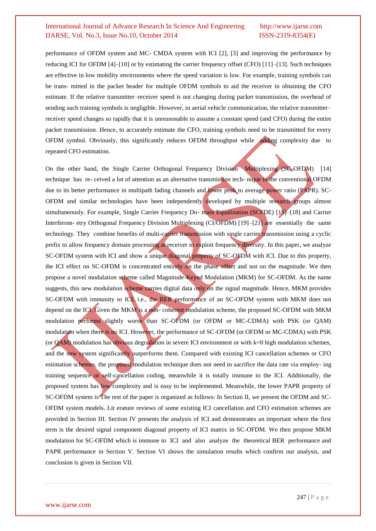performance of OFDM system and MC- CMDA system with ICI [2], [3] and improving the performance by reducing ICI for OFDM [4]–[10] or by estimating the carrier frequency offset (CFO) [11]–[13]. Such techniques are effective in low mobility environments where the speed variation is low. For example, training symbols can be trans- mitted in the packet header for multiple OFDM symbols to aid the receiver in obtaining the CFO estimate. If the relative transmitter–receiver speed is not changing during packet transmission, the overhead of sending such training symbols is negligible. However, in aerial vehicle communication, the relative transmitter– receiver speed changes so rapidly that it is unreasonable to assume a constant speed (and CFO) during the entire packet transmission. Hence, to accurately estimate the CFO, training symbols need to be transmitted for every OFDM symbol. Obviously, this significantly reduces OFDM throughput while adding complexity due to repeated CFO estimation.

On the other hand, the Single Carrier Orthogonal Frequency Division Multiplexing (SC-OFDM) [14] technique has re- ceived a lot of attention as an alternative transmission tech- nique to the conventional OFDM due to its better performance in multipath fading channels and lower peak to average power ratio (PAPR). SC-OFDM and similar technologies have been independently developed by multiple research groups almost simultaneously. For example, Single Carrier Frequency Do- main Equalization (SCFDE) [15]–[18] and Carrier Interferom- etry Orthogonal Frequency Division Multiplexing (CI/OFDM) [19]–[21] are essentially the same technology. They combine benefits of multi-carrier transmission with single carrier transmission using a cyclic prefix to allow frequency domain processing at receiver to exploit frequency diversity. In this paper, we analyze SC-OFDM system with ICI and show a unique diagonal property of SC-OFDM with ICI. Due to this property, the ICI effect on SC-OFDM is concentrated entirely on the phase offset and not on the magnitude. We then propose a novel modulation scheme called Magnitude-Keyed Modulation (MKM) for SC-OFDM. As the name suggests, this new modulation scheme carries digital data only on the signal magnitude. Hence, MKM provides SC-OFDM with immunity to ICI, i.e., the BER performance of an SC-OFDM system with MKM does not depend on the ICI. Given the MKM is a non- coherent modulation scheme, the proposed SC-OFDM with MKM modulation performs slightly worse than SC-OFDM (or OFDM or MC-CDMA) with PSK (or QAM) modulation when there is no ICI. However, the performance of SC-OFDM (or OFDM or MC-CDMA) with PSK (or  $QAM$ ) modulation has obvious degradation in severe ICI environment or with  $k=0$  high modulation schemes, and the new system significantly outperforms them. Compared with existing ICI cancellation schemes or CFO estimation schemes, the proposed modulation technique does not need to sacrifice the data rate via employ- ing training sequence or self-cancellation coding, meanwhile it is totally immune to the ICI. Additionally, the proposed system has low complexity and is easy to be implemented. Meanwhile, the lower PAPR property of SC-OFDM system is The rest of the paper is organized as follows: In Section II, we present the OFDM and SC-OFDM system models. Lit erature reviews of some existing ICI cancellation and CFO estimation schemes are provided in Section III. Section IV presents the analysis of ICI and demonstrates an important where the first term is the desired signal component diagonal property of ICI matrix in SC-OFDM. We then propose MKM modulation for SC-OFDM which is immune to ICI and also analyze the theoretical BER performance and PAPR performance in Section V. Section VI shows the simulation results which confirm our analysis, and conclusion is given in Section VII.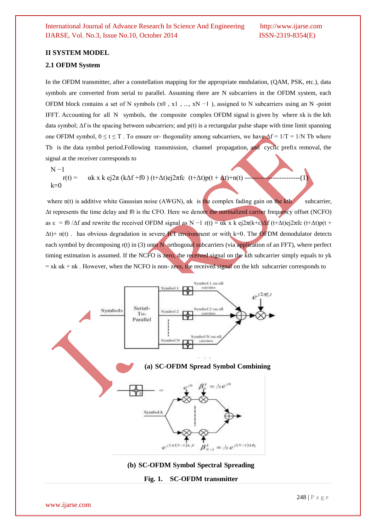#### **II SYSTEM MODEL**

#### **2.1 OFDM System**

In the OFDM transmitter, after a constellation mapping for the appropriate modulation, (QAM, PSK, etc.), data symbols are converted from serial to parallel. Assuming there are N subcarriers in the OFDM system, each OFDM block contains a set of N symbols  $(x0, x1, ..., xN-1)$ , assigned to N subcarriers using an N -point IFFT. Accounting for all N symbols, the composite complex OFDM signal is given by where xk is the kth data symbol;  $\Delta f$  is the spacing between subcarriers; and  $p(t)$  is a rectangular pulse shape with time limit spanning one OFDM symbol,  $0 \le t \le T$ . To ensure or-thogonality among subcarriers, we have  $\Delta f = 1/T = 1/N$  Tb where Tb is the data symbol period.Following transmission, channel propagation, and cyclic prefix removal, the signal at the receiver corresponds to

 $N<sub>-1</sub>$ 

 $r(t) = \alpha k \times k ej2\pi (k\Delta f + f0) (t+\Delta t)ej2\pi fc (t+\Delta t)p(t+\Delta t)+n(t)$  $k=0$ 

where  $n(t)$  is additive white Gaussian noise (AWGN),  $\alpha k$  is the complex fading gain on the kth subcarrier, Δt represents the time delay and f0 is the CFO. Here we denote the normalized carrier frequency offset (NCFO) as  $\varepsilon = f0$  / $\Delta f$  and rewrite the received OFDM signal as N −1 r(t) =  $\alpha k \times \varepsilon$   $\frac{a}{\pi}(\kappa + \varepsilon) \Delta f$  (t+ $\Delta t$ ) $\frac{e}{\pi}(\kappa + \varepsilon) \Delta f$  $\Delta t$ + n(t). has obvious degradation in severe ICI environment or with k=0. The OFDM demodulator detects each symbol by decomposing r(t) in (3) onto N orthogonal subcarriers (via application of an FFT), where perfect timing estimation is assumed. If the NCFO is zero, the received signal on the kth subcarrier simply equals to yk  $=$  xk  $\alpha$ k + nk. However, when the NCFO is non-zero, the received signal on the kth subcarrier corresponds to



www.ijarse.com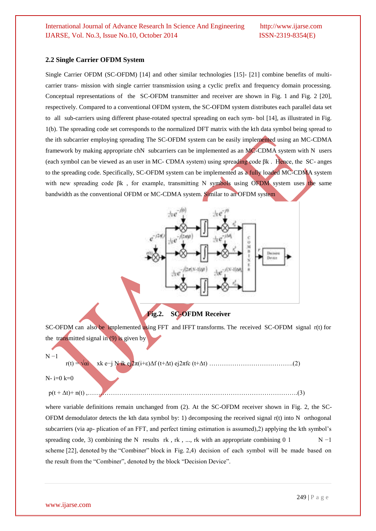#### **2.2 Single Carrier OFDM System**

Single Carrier OFDM (SC-OFDM) [14] and other similar technologies [15]- [21] combine benefits of multicarrier trans- mission with single carrier transmission using a cyclic prefix and frequency domain processing. Conceptual representations of the SC-OFDM transmitter and receiver are shown in Fig. 1 and Fig. 2 [20], respectively. Compared to a conventional OFDM system, the SC-OFDM system distributes each parallel data set to all sub-carriers using different phase-rotated spectral spreading on each sym- bol [14], as illustrated in Fig. 1(b). The spreading code set corresponds to the normalized DFT matrix with the kth data symbol being spread to the ith subcarrier employing spreading The SC-OFDM system can be easily implemented using an MC-CDMA framework by making appropriate chN subcarriers can be implemented as an MC-CDMA system with N users (each symbol can be viewed as an user in MC- CDMA system) using spreading code βk . Hence, the SC- anges to the spreading code. Specifically, SC-OFDM system can be implemented as a fully loaded MC-CDMA system with new spreading code βk, for example, transmitting N symbols using OFDM system uses the same bandwidth as the conventional OFDM or MC-CDMA system. Similar to an OFDM system



SC-OFDM can also be implemented using FFT and IFFT transforms. The received SC-OFDM signal r(t) for the transmitted signal in (9) is given by

 $N - 1$ 

r(t) = √αi xk e−j N ik ej2π(i+ε)Δf (t+Δt) ej2πfc (t+Δt) ………………………………….(2)

N- i=0 k=0

p(t + Δt)+ n(t) ,……………………………………………………………………………………….(3)

where variable definitions remain unchanged from (2). At the SC-OFDM receiver shown in Fig. 2, the SC-OFDM demodulator detects the kth data symbol by: 1) decomposing the received signal r(t) into N orthogonal subcarriers (via ap- plication of an FFT, and perfect timing estimation is assumed),2) applying the kth symbol's spreading code, 3) combining the N results rk, rk, ..., rk with an appropriate combining 0 1 N  $-1$ scheme [22], denoted by the "Combiner" block in Fig. 2,4) decision of each symbol will be made based on the result from the "Combiner", denoted by the block "Decision Device".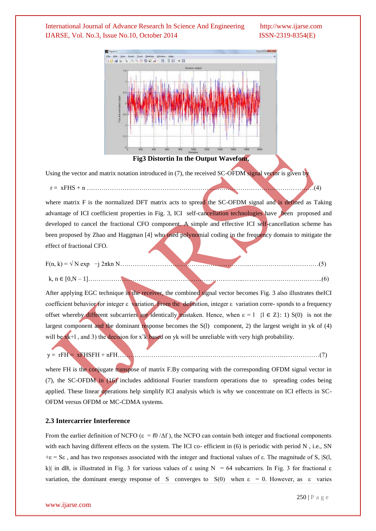

#### **Fig3 Distortin In the Output Wavefom,**

Using the vector and matrix notation introduced in (7), the received SC-OFDM signal vector is given by

r = xFHS + n ………………………………………………………………………………………………(4)

where matrix F is the normalized DFT matrix acts to spread the SC-OFDM signal and is defined as Taking advantage of ICI coefficient properties in Fig. 3, ICI self-cancellation technologies have been proposed and developed to cancel the fractional CFO component. A simple and effective ICI self-cancellation scheme has been proposed by Zhao and Haggman [4] who used polynomial coding in the frequency domain to mitigate the effect of fractional CFO.

$$
F(n, k) = \sqrt{N} \exp(-j 2\pi k n N
$$
...(5)  
k, n \in [0,N-1]... (6)

After applying EGC technique in the receiver, the combined signal vector becomes Fig. 3 also illustrates theICI coefficient behavior for integer ε variation. From the definition, integer ε variation corre- sponds to a frequency offset whereby different subcarriers are identically mistaken. Hence, when  $\varepsilon = 1 \{1 \in Z\}$ : 1) S(0) is not the largest component and the dominant response becomes the S(l) component, 2) the largest weight in yk of (4) will be xk+l, and 3) the decision for x<sup>2</sup>k based on yk will be unreliable with very high probability.

$$
y = rFH = xFHSFH + nFH
$$
 (7)

where FH is the conjugate transpose of matrix F.By comparing with the corresponding OFDM signal vector in (7), the SC-OFDM in (16) includes additional Fourier transform operations due to spreading codes being applied. These linear operations help simplify ICI analysis which is why we concentrate on ICI effects in SC-OFDM versus OFDM or MC-CDMA systems.

#### **2.3 Intercarrier Interference**

From the earlier definition of NCFO ( $\varepsilon = f0/\Delta f$ ), the NCFO can contain both integer and fractional components with each having different effects on the system. The ICI co- efficient in (6) is periodic with period N, i.e., SN  $+\epsilon = S\epsilon$ , and has two responses associated with the integer and fractional values of  $\epsilon$ . The magnitude of S,  $|S(1, \epsilon)|$ k)| in dB, is illustrated in Fig. 3 for various values of  $\varepsilon$  using N = 64 subcarriers. In Fig. 3 for fractional  $\varepsilon$ variation, the dominant energy response of S converges to  $S(0)$  when  $\varepsilon = 0$ . However, as  $\varepsilon$  varies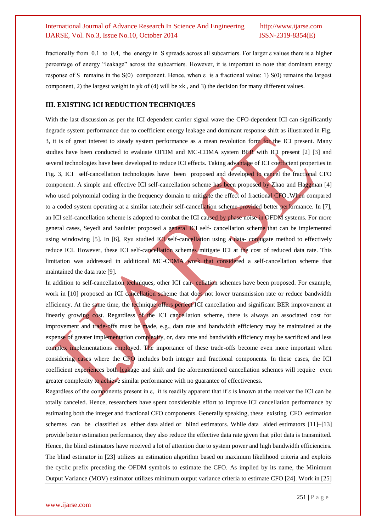fractionally from 0.1 to 0.4, the energy in S spreads across all subcarriers. For larger ε values there is a higher percentage of energy "leakage" across the subcarriers. However, it is important to note that dominant energy response of S remains in the S(0) component. Hence, when ε is a fractional value: 1) S(0) remains the largest component, 2) the largest weight in yk of (4) will be xk , and 3) the decision for many different values.

#### **III. EXISTING ICI REDUCTION TECHNIQUES**

With the last discussion as per the ICI dependent carrier signal wave the CFO-dependent ICI can significantly degrade system performance due to coefficient energy leakage and dominant response shift as illustrated in Fig. 3, it is of great interest to steady system performance as a mean revolution form for the ICI present. Many studies have been conducted to evaluate OFDM and MC-CDMA system BER with ICI present [2] [3] and several technologies have been developed to reduce ICI effects. Taking advantage of ICI coefficient properties in Fig. 3, ICI self-cancellation technologies have been proposed and developed to cancel the fractional CFO component. A simple and effective ICI self-cancellation scheme has been proposed by Zhao and Haggman [4] who used polynomial coding in the frequency domain to mitigate the effect of fractional CFO. When compared to a coded system operating at a similar rate,their self-cancellation scheme provided better performance. In [7], an ICI self-cancellation scheme is adopted to combat the ICI caused by phase noise in OFDM systems. For more general cases, Seyedi and Saulnier proposed a general ICI self- cancellation scheme that can be implemented using windowing [5]. In [6], Ryu studied ICI self-cancellation using a data- conjugate method to effectively reduce ICI. However, these ICI self-cancellation schemes mitigate ICI at the cost of reduced data rate. This limitation was addressed in additional MC-CDMA work that considered a self-cancellation scheme that maintained the data rate [9].

In addition to self-cancellation techniques, other ICI can- cellation schemes have been proposed. For example, work in [10] proposed an ICI cancellation scheme that does not lower transmission rate or reduce bandwidth efficiency. At the same time, the technique offers perfect ICI cancellation and significant BER improvement at linearly growing cost. Regardless of the ICI cancellation scheme, there is always an associated cost for improvement and trade-offs must be made, e.g., data rate and bandwidth efficiency may be maintained at the expense of greater implementation complexity, or, data rate and bandwidth efficiency may be sacrificed and less complex implementations employed. The importance of these trade-offs become even more important when considering cases where the CFO includes both integer and fractional components. In these cases, the ICI coefficient experiences both leakage and shift and the aforementioned cancellation schemes will require even greater complexity to achieve similar performance with no guarantee of effectiveness.

Regardless of the components present in ε, it is readily apparent that if  $\varepsilon$  is known at the receiver the ICI can be totally canceled. Hence, researchers have spent considerable effort to improve ICI cancellation performance by estimating both the integer and fractional CFO components. Generally speaking, these existing CFO estimation schemes can be classified as either data aided or blind estimators. While data aided estimators [11]–[13] provide better estimation performance, they also reduce the effective data rate given that pilot data is transmitted. Hence, the blind estimators have received a lot of attention due to system power and high bandwidth efficiencies. The blind estimator in [23] utilizes an estimation algorithm based on maximum likelihood criteria and exploits the cyclic prefix preceding the OFDM symbols to estimate the CFO. As implied by its name, the Minimum Output Variance (MOV) estimator utilizes minimum output variance criteria to estimate CFO [24]. Work in [25]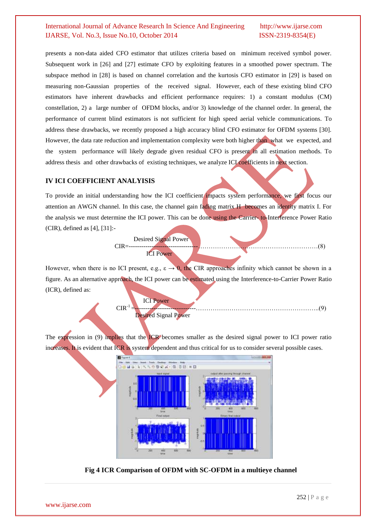presents a non-data aided CFO estimator that utilizes criteria based on minimum received symbol power. Subsequent work in [26] and [27] estimate CFO by exploiting features in a smoothed power spectrum. The subspace method in [28] is based on channel correlation and the kurtosis CFO estimator in [29] is based on measuring non-Gaussian properties of the received signal. However, each of these existing blind CFO estimators have inherent drawbacks and efficient performance requires: 1) a constant modulus (CM) constellation, 2) a large number of OFDM blocks, and/or 3) knowledge of the channel order. In general, the performance of current blind estimators is not sufficient for high speed aerial vehicle communications. To address these drawbacks, we recently proposed a high accuracy blind CFO estimator for OFDM systems [30]. However, the data rate reduction and implementation complexity were both higher than what we expected, and the system performance will likely degrade given residual CFO is present in all estimation methods. To address thesis and other drawbacks of existing techniques, we analyze ICI coefficients in next section.

#### **IV ICI COEFFICIENT ANALYISIS**

To provide an initial understanding how the ICI coefficient impacts system performance, we first focus our attention an AWGN channel. In this case, the channel gain fading matrix H becomes an identity matrix I. For the analysis we must determine the ICI power. This can be done using the Carrier- to-Interference Power Ratio (CIR), defined as [4], [31]:-



However, when there is no ICI present, e.g.,  $\varepsilon \to 0$ , the CIR approaches infinity which cannot be shown in a figure. As an alternative approach, the ICI power can be estimated using the Interference-to-Carrier Power Ratio (ICR), defined as:

> ICI Power  $CIR^{-1}$ =-----------------------------…………………………………………………..(9) Desired Signal Power

The expression in (9) implies that the ICR becomes smaller as the desired signal power to ICI power ratio increases. It is evident that ICR is system dependent and thus critical for us to consider several possible cases.



**Fig 4 ICR Comparison of OFDM with SC-OFDM in a multieye channel**

www.ijarse.com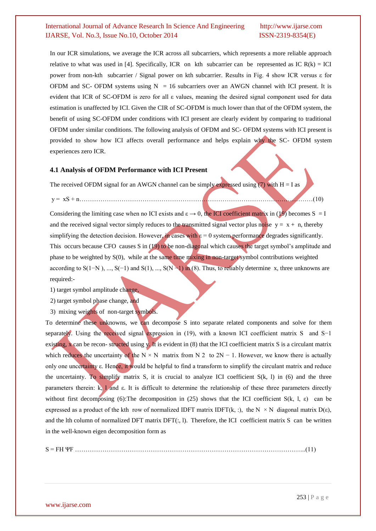In our ICR simulations, we average the ICR across all subcarriers, which represents a more reliable approach relative to what was used in [4]. Specifically, ICR on kth subcarrier can be represented as IC  $R(k) = ICI$ power from non-kth subcarrier / Signal power on kth subcarrier. Results in Fig. 4 show ICR versus ε for OFDM and SC- OFDM systems using  $N = 16$  subcarriers over an AWGN channel with ICI present. It is evident that ICR of SC-OFDM is zero for all ε values, meaning the desired signal component used for data estimation is unaffected by ICI. Given the CIR of SC-OFDM is much lower than that of the OFDM system, the benefit of using SC-OFDM under conditions with ICI present are clearly evident by comparing to traditional OFDM under similar conditions. The following analysis of OFDM and SC- OFDM systems with ICI present is provided to show how ICI affects overall performance and helps explain why the SC- OFDM system experiences zero ICR.

#### **4.1 Analysis of OFDM Performance with ICI Present**

The received OFDM signal for an AWGN channel can be simply expressed using (7) with  $H = I$  as

y = xS + n…………………………………………………………………………………………………(10)

Considering the limiting case when no ICI exists and  $\varepsilon \to 0$ , the ICI coefficient matrix in (19) becomes S = I and the received signal vector simply reduces to the transmitted signal vector plus noise  $y = x + n$ , thereby simplifying the detection decision. However, in cases with  $\varepsilon = 0$  system performance degrades significantly. This occurs because CFO causes S in (19) to be non-diagonal which causes the target symbol's amplitude and phase to be weighted by S(0), while at the same time mixing in non-target symbol contributions weighted according to S(1–N), ..., S(-1) and S(1), ..., S(N –1) in (8). Thus, to reliably determine x, three unknowns are required:-

1) target symbol amplitude change,

2) target symbol phase change, and

3) mixing weights of non-target symbols.

To determine these unknowns, we can decompose S into separate related components and solve for them separately. Using the received signal expression in (19), with a known ICI coefficient matrix S and S−1 existing,  $\bf{x}$  can be recon- structed using  $\bf{y}$ . It is evident in (8) that the ICI coefficient matrix S is a circulant matrix which reduces the uncertainty of the  $N \times N$  matrix from N 2 to 2N − 1. However, we know there is actually only one uncertainty ε. Hence, it would be helpful to find a transform to simplify the circulant matrix and reduce the uncertainty. To simplify matrix S, it is crucial to analyze ICI coefficient  $S(k, l)$  in (6) and the three parameters therein: k, l and ε. It is difficult to determine the relationship of these three parameters directly without first decomposing (6):The decomposition in (25) shows that the ICI coefficient  $S(k, l, \varepsilon)$  can be expressed as a product of the kth row of normalized IDFT matrix IDFT(k, :), the N  $\times$  N diagonal matrix D( $\varepsilon$ ), and the lth column of normalized DFT matrix  $DFT(:, 1)$ . Therefore, the ICI coefficient matrix S can be written in the well-known eigen decomposition form as

S = FH ΨF ………………………………………………………………………………………………..(11)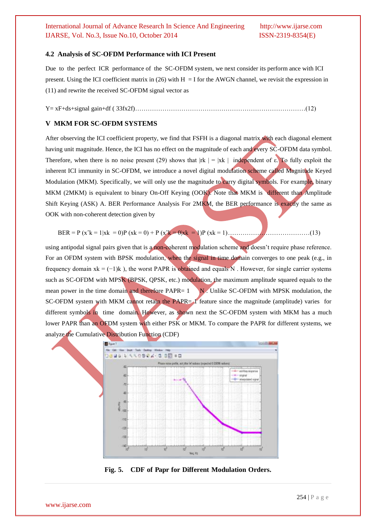#### **4.2 Analysis of SC-OFDM Performance with ICI Present**

Due to the perfect ICR performance of the SC-OFDM system, we next consider its perform ance with ICI present. Using the ICI coefficient matrix in (26) with  $H = I$  for the AWGN channel, we revisit the expression in (11) and rewrite the received SC-OFDM signal vector as

Y= xF+ds+signal gain+df ( 33fx2f)………………………………………………………………………(12)

#### **V MKM FOR SC-OFDM SYSTEMS**

After observing the ICI coefficient property, we find that FSFH is a diagonal matrix with each diagonal element having unit magnitude. Hence, the ICI has no effect on the magnitude of each and every SC-OFDM data symbol. Therefore, when there is no noise present (29) shows that  $|rk| = |xk|$  independent of ε. To fully exploit the inherent ICI immunity in SC-OFDM, we introduce a novel digital modulation scheme called Magnitude Keyed Modulation (MKM). Specifically, we will only use the magnitude to carry digital symbols. For example, binary MKM (2MKM) is equivalent to binary On-Off Keying (OOK). Note that MKM is different than Amplitude Shift Keying (ASK) A. BER Performance Analysis For 2MKM, the BER performance is exactly the same as OOK with non-coherent detection given by

BER = P (xˆk = 1|xk = 0)P (xk = 0) + P (xˆk = 0|xk = 1)P (xk = 1)…………………………………(13)

using antipodal signal pairs given that is a non-coherent modulation scheme and doesn't require phase reference. For an OFDM system with BPSK modulation, when the signal in time domain converges to one peak (e.g., in frequency domain  $x = (-1)k$ , the worst PAPR is obtained and equals N. However, for single carrier systems such as SC-OFDM with MPSK (BPSK, QPSK, etc.) modulation, the maximum amplitude squared equals to the mean power in the time domain and therefore PAPR=  $1$  N. Unlike SC-OFDM with MPSK modulation, the SC-OFDM system with MKM cannot retain the PAPR= 1 feature since the magnitude (amplitude) varies for different symbols in time domain. However, as shown next the SC-OFDM system with MKM has a much lower PAPR than an OEDM system with either PSK or MKM. To compare the PAPR for different systems, we analyze the Cumulative Distribution Function (CDF)



**Fig. 5. CDF of Papr for Different Modulation Orders.**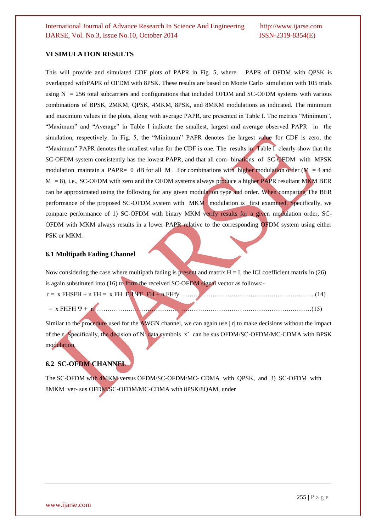#### **VI SIMULATION RESULTS**

This will provide and simulated CDF plots of PAPR in Fig. 5, where PAPR of OFDM with QPSK is overlapped withPAPR of OFDM with 8PSK. These results are based on Monte Carlo simulation with 105 trials using  $N = 256$  total subcarriers and configurations that included OFDM and SC-OFDM systems with various combinations of BPSK, 2MKM, QPSK, 4MKM, 8PSK, and 8MKM modulations as indicated. The minimum and maximum values in the plots, along with average PAPR, are presented in Table I. The metrics "Minimum", "Maximum" and "Average" in Table I indicate the smallest, largest and average observed PAPR in the simulation, respectively. In Fig. 5, the "Minimum" PAPR denotes the largest value for CDF is zero, the "Maximum" PAPR denotes the smallest value for the CDF is one. The results in Table I clearly show that the SC-OFDM system consistently has the lowest PAPR, and that all com- binations of SC-OFDM with MPSK modulation maintain a PAPR= 0 dB for all M. For combinations with higher modulation order ( $M = 4$  and  $M = 8$ ), i.e., SC-OFDM with zero and the OFDM systems always produce a higher PAPR resultant MKM BER can be approximated using the following for any given modulation type and order. When comparing The BER performance of the proposed SC-OFDM system with MKM modulation is first examined. Specifically, we compare performance of 1) SC-OFDM with binary MKM verify results for a given modulation order, SC-OFDM with MKM always results in a lower PAPR relative to the corresponding OFDM system using either PSK or MKM.

#### **6.1 Multipath Fading Channel**

Now considering the case where multipath fading is present and matrix  $H = I$ , the ICI coefficient matrix in (26) is again substituted into (16) to form the received SC-OFDM signal vector as follows:  $r = x$  FHSFH + n FH = x FH FH ΨF FH + n FHfy ………

= x FHFH Ψ + n …………………………………………………………………………………………(15)

Similar to the procedure used for the AWGN channel, we can again use  $|r|$  to make decisions without the impact of the ε. Specifically, the decision of N data symbols xˆ can be sus OFDM/SC-OFDM/MC-CDMA with BPSK modulation,

### **6.2 SC-OFDM CHANNEL**

The SC-OFDM with 4MKM versus OFDM/SC-OFDM/MC- CDMA with QPSK, and 3) SC-OFDM with 8MKM ver- sus OFDM/SC-OFDM/MC-CDMA with 8PSK/8QAM, under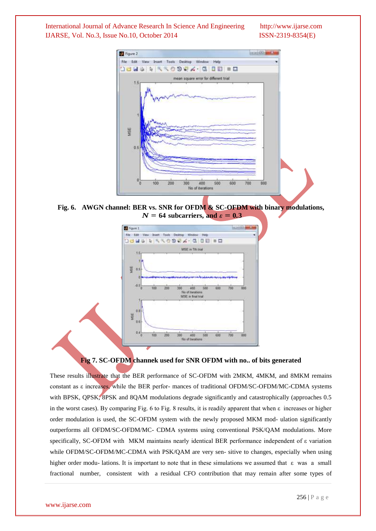

**Fig. 6. AWGN channel: BER vs. SNR for OFDM & SC-OFDM with binary modulations,**  $N = 64$  subcarriers, and  $\varepsilon = 0.3$ 



#### **Fig 7. SC-OFDM channek used for SNR OFDM with no.. of bits generated**

These results illustrate that the BER performance of SC-OFDM with 2MKM, 4MKM, and 8MKM remains constant as ε increases, while the BER perfor- mances of traditional OFDM/SC-OFDM/MC-CDMA systems with BPSK, QPSK, 8PSK and 8QAM modulations degrade significantly and catastrophically (approaches 0.5 in the worst cases). By comparing Fig. 6 to Fig. 8 results, it is readily apparent that when ε increases or higher order modulation is used, the SC-OFDM system with the newly proposed MKM mod- ulation significantly outperforms all OFDM/SC-OFDM/MC- CDMA systems using conventional PSK/QAM modulations. More specifically, SC-OFDM with MKM maintains nearly identical BER performance independent of ε variation while OFDM/SC-OFDM/MC-CDMA with PSK/QAM are very sen- sitive to changes, especially when using higher order modu- lations. It is important to note that in these simulations we assumed that ε was a small fractional number, consistent with a residual CFO contribution that may remain after some types of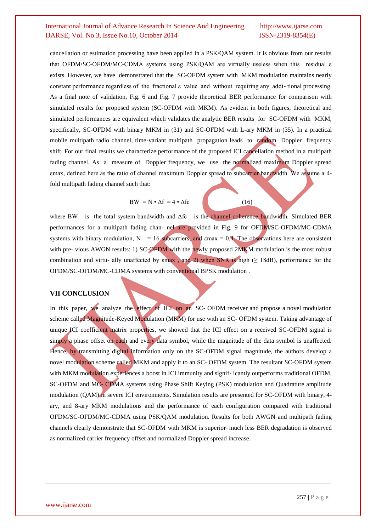cancellation or estimation processing have been applied in a PSK/QAM system. It is obvious from our results that OFDM/SC-OFDM/MC-CDMA systems using PSK/QAM are virtually useless when this residual ε exists. However, we have demonstrated that the SC-OFDM system with MKM modulation maintains nearly constant performance regardless of the fractional ε value and without requiring any addi- tional processing. As a final note of validation, Fig. 6 and Fig. 7 provide theoretical BER performance for comparison with simulated results for proposed system (SC-OFDM with MKM). As evident in both figures, theoretical and simulated performances are equivalent which validates the analytic BER results for SC-OFDM with MKM, specifically, SC-OFDM with binary MKM in (31) and SC-OFDM with L-ary MKM in (35). In a practical mobile multipath radio channel, time-variant multipath propagation leads to random Doppler frequency shift. For our final results we characterize performance of the proposed ICI cancellation method in a multipath fading channel. As a measure of Doppler frequency, we use the normalized maximum Doppler spread εmax, defined here as the ratio of channel maximum Doppler spread to subcarrier bandwidth. We assume a 4 fold multipath fading channel such that:

$$
BW = N \cdot \Delta f = 4 \cdot \Delta fc \tag{16}
$$

where BW is the total system bandwidth and Δfc is the channel coherence bandwidth. Simulated BER performances for a multipath fading chan- nel are provided in Fig. 9 for OFDM/SC-OFDM/MC-CDMA systems with binary modulation,  $N = 16$  subcarriers, and  $\text{max} = 0.4$ . The observations here are consistent with pre- vious AWGN results: 1) SC-OFDM with the newly proposed 2MKM modulation is the most robust combination and virtu- ally unaffected by  $\epsilon$ max, and 2) when SNR is high ( $\geq$  18dB), performance for the OFDM/SC-OFDM/MC-CDMA systems with conventional BPSK modulation .

#### **VII CONCLUSION**

In this paper, we analyze the effect of ICI on an SC- OFDM receiver and propose a novel modulation scheme called Magnitude-Keyed Modulation (MKM) for use with an SC- OFDM system. Taking advantage of unique ICI coefficient matrix properties, we showed that the ICI effect on a received SC-OFDM signal is simply a phase offset on each and every data symbol, while the magnitude of the data symbol is unaffected. Hence, by transmitting digital information only on the SC-OFDM signal magnitude, the authors develop a novel modulation scheme called MKM and apply it to an SC- OFDM system. The resultant SC-OFDM system with MKM modulation experiences a boost in ICI immunity and signif-icantly outperforms traditional OFDM, SC-OFDM and MC- CDMA systems using Phase Shift Keying (PSK) modulation and Quadrature amplitude modulation (QAM) in severe ICI environments. Simulation results are presented for SC-OFDM with binary, 4ary, and 8-ary MKM modulations and the performance of each configuration compared with traditional OFDM/SC-OFDM/MC-CDMA using PSK/QAM modulation. Results for both AWGN and multipath fading channels clearly demonstrate that SC-OFDM with MKM is superior–much less BER degradation is observed as normalized carrier frequency offset and normalized Doppler spread increase.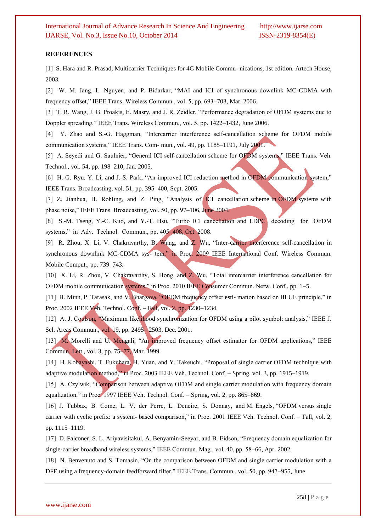#### **REFERENCES**

[1] S. Hara and R. Prasad, Multicarrier Techniques for 4G Mobile Commu- nications, 1st edition. Artech House, 2003.

[2] W. M. Jang, L. Nguyen, and P. Bidarkar, "MAI and ICI of synchronous downlink MC-CDMA with frequency offset," IEEE Trans. Wireless Commun., vol. 5, pp. 693–703, Mar. 2006.

[3] T. R. Wang, J. G. Proakis, E. Masry, and J. R. Zeidler, "Performance degradation of OFDM systems due to Doppler spreading," IEEE Trans. Wireless Commun., vol. 5, pp. 1422–1432, June 2006.

[4] Y. Zhao and S.-G. Haggman, "Intercarrier interference self-cancellation scheme for OFDM mobile communication systems," IEEE Trans. Com- mun., vol. 49, pp. 1185–1191, July 2001.

[5] A. Seyedi and G. Saulnier, "General ICI self-cancellation scheme for OFDM systems," IEEE Trans. Veh. Technol., vol. 54, pp. 198–210, Jan. 2005.

[6] H.-G. Ryu, Y. Li, and J.-S. Park, "An improved ICI reduction method in OFDM communication system," IEEE Trans. Broadcasting, vol. 51, pp. 395–400, Sept. 2005.

[7] Z. Jianhua, H. Rohling, and Z. Ping, "Analysis of ICI cancellation scheme in OFDM systems with phase noise," IEEE Trans. Broadcasting, vol. 50, pp. 97–106, June 2004.

[8] S.-M. Tseng, Y.-C. Kuo, and Y.-T. Hsu, "Turbo ICI cancellation and LDPC decoding for OFDM systems," in Adv. Technol. Commun., pp. 405–408, Oct. 2008.

[9] R. Zhou, X. Li, V. Chakravarthy, B. Wang, and Z. Wu, "Inter-carrier interference self-cancellation in synchronous downlink MC-CDMA sys- tem," in Proc. 2009 IEEE International Conf. Wireless Commun. Mobile Comput., pp. 739–743.

[10] X. Li, R. Zhou, V. Chakravarthy, S. Hong, and Z. Wu, "Total intercarrier interference cancellation for OFDM mobile communication systems," in Proc. 2010 IEEE Consumer Commun. Netw. Conf., pp. 1–5.

[11] H. Minn, P. Tarasak, and V. Bhargava, "OFDM frequency offset esti- mation based on BLUE principle," in Proc. 2002 IEEE Veh. Technol. Conf. – Fall, vol. 2, pp. 1230–1234.

[12] A. J. Coulson, "Maximum likelihood synchronization for OFDM using a pilot symbol: analysis," IEEE J. Sel. Areas Commun., vol. 19, pp. 2495– 2503, Dec. 2001.

[13] M. Morelli and U. Mengali, "An improved frequency offset estimator for OFDM applications," IEEE Commun. Lett., vol. 3, pp. 75–77, Mar. 1999.

[14] H. Kobayashi, T. Fukuhara, H. Yuan, and Y. Takeuchi, "Proposal of single carrier OFDM technique with adaptive modulation method," in Proc. 2003 IEEE Veh. Technol. Conf. – Spring, vol. 3, pp. 1915–1919.

[15] A. Czylwik, "Comparison between adaptive OFDM and single carrier modulation with frequency domain equalization," in Proc. 1997 IEEE Veh. Technol. Conf. – Spring, vol. 2, pp. 865–869.

[16] J. Tubbax, B. Come, L. V. der Perre, L. Deneire, S. Donnay, and M. Engels, "OFDM versus single carrier with cyclic prefix: a system- based comparison," in Proc. 2001 IEEE Veh. Technol. Conf. – Fall, vol. 2, pp. 1115–1119.

[17] D. Falconer, S. L. Ariyavisitakul, A. Benyamin-Seeyar, and B. Eidson, "Frequency domain equalization for single-carrier broadband wireless systems," IEEE Commun. Mag., vol. 40, pp. 58–66, Apr. 2002.

[18] N. Benvenuto and S. Tomasin, "On the comparison between OFDM and single carrier modulation with a DFE using a frequency-domain feedforward filter," IEEE Trans. Commun., vol. 50, pp. 947–955, June